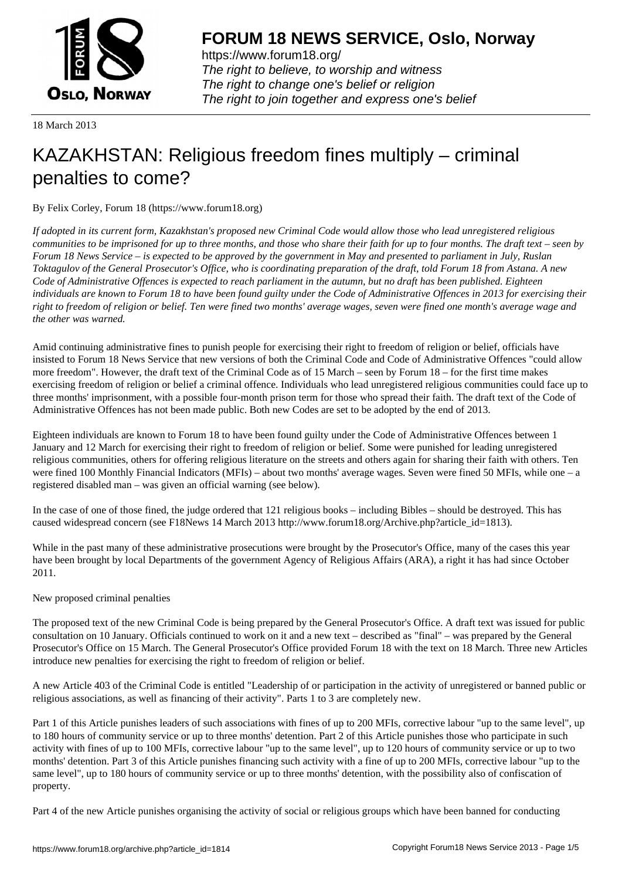

https://www.forum18.org/ The right to believe, to worship and witness The right to change one's belief or religion [The right to join together a](https://www.forum18.org/)nd express one's belief

18 March 2013

# [KAZAKHSTAN:](https://www.forum18.org) Religious freedom fines multiply – criminal penalties to come?

By Felix Corley, Forum 18 (https://www.forum18.org)

*If adopted in its current form, Kazakhstan's proposed new Criminal Code would allow those who lead unregistered religious communities to be imprisoned for up to three months, and those who share their faith for up to four months. The draft text – seen by Forum 18 News Service – is expected to be approved by the government in May and presented to parliament in July, Ruslan Toktagulov of the General Prosecutor's Office, who is coordinating preparation of the draft, told Forum 18 from Astana. A new Code of Administrative Offences is expected to reach parliament in the autumn, but no draft has been published. Eighteen individuals are known to Forum 18 to have been found guilty under the Code of Administrative Offences in 2013 for exercising their right to freedom of religion or belief. Ten were fined two months' average wages, seven were fined one month's average wage and the other was warned.*

Amid continuing administrative fines to punish people for exercising their right to freedom of religion or belief, officials have insisted to Forum 18 News Service that new versions of both the Criminal Code and Code of Administrative Offences "could allow more freedom". However, the draft text of the Criminal Code as of 15 March – seen by Forum 18 – for the first time makes exercising freedom of religion or belief a criminal offence. Individuals who lead unregistered religious communities could face up to three months' imprisonment, with a possible four-month prison term for those who spread their faith. The draft text of the Code of Administrative Offences has not been made public. Both new Codes are set to be adopted by the end of 2013.

Eighteen individuals are known to Forum 18 to have been found guilty under the Code of Administrative Offences between 1 January and 12 March for exercising their right to freedom of religion or belief. Some were punished for leading unregistered religious communities, others for offering religious literature on the streets and others again for sharing their faith with others. Ten were fined 100 Monthly Financial Indicators (MFIs) – about two months' average wages. Seven were fined 50 MFIs, while one – a registered disabled man – was given an official warning (see below).

In the case of one of those fined, the judge ordered that 121 religious books – including Bibles – should be destroyed. This has caused widespread concern (see F18News 14 March 2013 http://www.forum18.org/Archive.php?article\_id=1813).

While in the past many of these administrative prosecutions were brought by the Prosecutor's Office, many of the cases this year have been brought by local Departments of the government Agency of Religious Affairs (ARA), a right it has had since October 2011.

## New proposed criminal penalties

The proposed text of the new Criminal Code is being prepared by the General Prosecutor's Office. A draft text was issued for public consultation on 10 January. Officials continued to work on it and a new text – described as "final" – was prepared by the General Prosecutor's Office on 15 March. The General Prosecutor's Office provided Forum 18 with the text on 18 March. Three new Articles introduce new penalties for exercising the right to freedom of religion or belief.

A new Article 403 of the Criminal Code is entitled "Leadership of or participation in the activity of unregistered or banned public or religious associations, as well as financing of their activity". Parts 1 to 3 are completely new.

Part 1 of this Article punishes leaders of such associations with fines of up to 200 MFIs, corrective labour "up to the same level", up to 180 hours of community service or up to three months' detention. Part 2 of this Article punishes those who participate in such activity with fines of up to 100 MFIs, corrective labour "up to the same level", up to 120 hours of community service or up to two months' detention. Part 3 of this Article punishes financing such activity with a fine of up to 200 MFIs, corrective labour "up to the same level", up to 180 hours of community service or up to three months' detention, with the possibility also of confiscation of property.

Part 4 of the new Article punishes organising the activity of social or religious groups which have been banned for conducting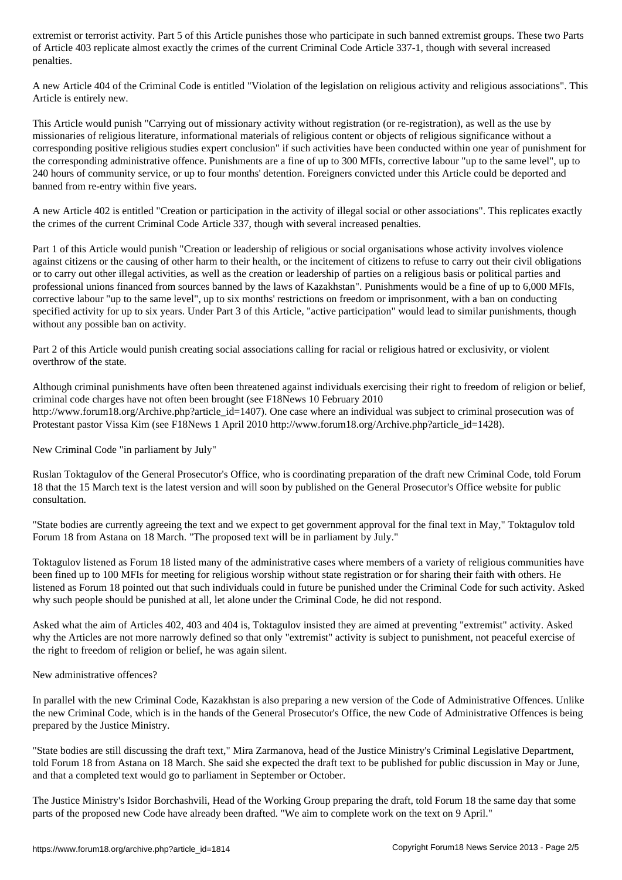of Article 403 replicate almost exactly the criminal Criminal Code Article 337-1, though with several increased penalties.

A new Article 404 of the Criminal Code is entitled "Violation of the legislation on religious activity and religious associations". This Article is entirely new.

This Article would punish "Carrying out of missionary activity without registration (or re-registration), as well as the use by missionaries of religious literature, informational materials of religious content or objects of religious significance without a corresponding positive religious studies expert conclusion" if such activities have been conducted within one year of punishment for the corresponding administrative offence. Punishments are a fine of up to 300 MFIs, corrective labour "up to the same level", up to 240 hours of community service, or up to four months' detention. Foreigners convicted under this Article could be deported and banned from re-entry within five years.

A new Article 402 is entitled "Creation or participation in the activity of illegal social or other associations". This replicates exactly the crimes of the current Criminal Code Article 337, though with several increased penalties.

Part 1 of this Article would punish "Creation or leadership of religious or social organisations whose activity involves violence against citizens or the causing of other harm to their health, or the incitement of citizens to refuse to carry out their civil obligations or to carry out other illegal activities, as well as the creation or leadership of parties on a religious basis or political parties and professional unions financed from sources banned by the laws of Kazakhstan". Punishments would be a fine of up to 6,000 MFIs, corrective labour "up to the same level", up to six months' restrictions on freedom or imprisonment, with a ban on conducting specified activity for up to six years. Under Part 3 of this Article, "active participation" would lead to similar punishments, though without any possible ban on activity.

Part 2 of this Article would punish creating social associations calling for racial or religious hatred or exclusivity, or violent overthrow of the state.

Although criminal punishments have often been threatened against individuals exercising their right to freedom of religion or belief, criminal code charges have not often been brought (see F18News 10 February 2010 http://www.forum18.org/Archive.php?article\_id=1407). One case where an individual was subject to criminal prosecution was of Protestant pastor Vissa Kim (see F18News 1 April 2010 http://www.forum18.org/Archive.php?article\_id=1428).

New Criminal Code "in parliament by July"

Ruslan Toktagulov of the General Prosecutor's Office, who is coordinating preparation of the draft new Criminal Code, told Forum 18 that the 15 March text is the latest version and will soon by published on the General Prosecutor's Office website for public consultation.

"State bodies are currently agreeing the text and we expect to get government approval for the final text in May," Toktagulov told Forum 18 from Astana on 18 March. "The proposed text will be in parliament by July."

Toktagulov listened as Forum 18 listed many of the administrative cases where members of a variety of religious communities have been fined up to 100 MFIs for meeting for religious worship without state registration or for sharing their faith with others. He listened as Forum 18 pointed out that such individuals could in future be punished under the Criminal Code for such activity. Asked why such people should be punished at all, let alone under the Criminal Code, he did not respond.

Asked what the aim of Articles 402, 403 and 404 is, Toktagulov insisted they are aimed at preventing "extremist" activity. Asked why the Articles are not more narrowly defined so that only "extremist" activity is subject to punishment, not peaceful exercise of the right to freedom of religion or belief, he was again silent.

New administrative offences?

In parallel with the new Criminal Code, Kazakhstan is also preparing a new version of the Code of Administrative Offences. Unlike the new Criminal Code, which is in the hands of the General Prosecutor's Office, the new Code of Administrative Offences is being prepared by the Justice Ministry.

"State bodies are still discussing the draft text," Mira Zarmanova, head of the Justice Ministry's Criminal Legislative Department, told Forum 18 from Astana on 18 March. She said she expected the draft text to be published for public discussion in May or June, and that a completed text would go to parliament in September or October.

The Justice Ministry's Isidor Borchashvili, Head of the Working Group preparing the draft, told Forum 18 the same day that some parts of the proposed new Code have already been drafted. "We aim to complete work on the text on 9 April."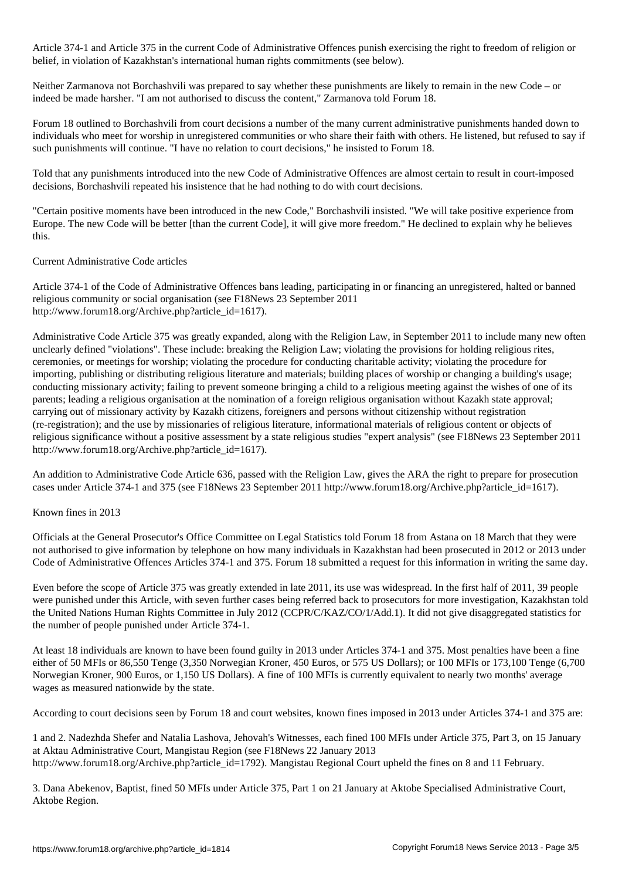Article 374-1 and Article 375 in the current Code of Administrative Offences punish exercising the right to freedom of religion or belief, in violation of Kazakhstan's international human rights commitments (see below).

Neither Zarmanova not Borchashvili was prepared to say whether these punishments are likely to remain in the new Code – or indeed be made harsher. "I am not authorised to discuss the content," Zarmanova told Forum 18.

Forum 18 outlined to Borchashvili from court decisions a number of the many current administrative punishments handed down to individuals who meet for worship in unregistered communities or who share their faith with others. He listened, but refused to say if such punishments will continue. "I have no relation to court decisions," he insisted to Forum 18.

Told that any punishments introduced into the new Code of Administrative Offences are almost certain to result in court-imposed decisions, Borchashvili repeated his insistence that he had nothing to do with court decisions.

"Certain positive moments have been introduced in the new Code," Borchashvili insisted. "We will take positive experience from Europe. The new Code will be better [than the current Code], it will give more freedom." He declined to explain why he believes this.

### Current Administrative Code articles

Article 374-1 of the Code of Administrative Offences bans leading, participating in or financing an unregistered, halted or banned religious community or social organisation (see F18News 23 September 2011 http://www.forum18.org/Archive.php?article\_id=1617).

Administrative Code Article 375 was greatly expanded, along with the Religion Law, in September 2011 to include many new often unclearly defined "violations". These include: breaking the Religion Law; violating the provisions for holding religious rites, ceremonies, or meetings for worship; violating the procedure for conducting charitable activity; violating the procedure for importing, publishing or distributing religious literature and materials; building places of worship or changing a building's usage; conducting missionary activity; failing to prevent someone bringing a child to a religious meeting against the wishes of one of its parents; leading a religious organisation at the nomination of a foreign religious organisation without Kazakh state approval; carrying out of missionary activity by Kazakh citizens, foreigners and persons without citizenship without registration (re-registration); and the use by missionaries of religious literature, informational materials of religious content or objects of religious significance without a positive assessment by a state religious studies "expert analysis" (see F18News 23 September 2011 http://www.forum18.org/Archive.php?article\_id=1617).

An addition to Administrative Code Article 636, passed with the Religion Law, gives the ARA the right to prepare for prosecution cases under Article 374-1 and 375 (see F18News 23 September 2011 http://www.forum18.org/Archive.php?article\_id=1617).

#### Known fines in 2013

Officials at the General Prosecutor's Office Committee on Legal Statistics told Forum 18 from Astana on 18 March that they were not authorised to give information by telephone on how many individuals in Kazakhstan had been prosecuted in 2012 or 2013 under Code of Administrative Offences Articles 374-1 and 375. Forum 18 submitted a request for this information in writing the same day.

Even before the scope of Article 375 was greatly extended in late 2011, its use was widespread. In the first half of 2011, 39 people were punished under this Article, with seven further cases being referred back to prosecutors for more investigation, Kazakhstan told the United Nations Human Rights Committee in July 2012 (CCPR/C/KAZ/CO/1/Add.1). It did not give disaggregated statistics for the number of people punished under Article 374-1.

At least 18 individuals are known to have been found guilty in 2013 under Articles 374-1 and 375. Most penalties have been a fine either of 50 MFIs or 86,550 Tenge (3,350 Norwegian Kroner, 450 Euros, or 575 US Dollars); or 100 MFIs or 173,100 Tenge (6,700 Norwegian Kroner, 900 Euros, or 1,150 US Dollars). A fine of 100 MFIs is currently equivalent to nearly two months' average wages as measured nationwide by the state.

According to court decisions seen by Forum 18 and court websites, known fines imposed in 2013 under Articles 374-1 and 375 are:

1 and 2. Nadezhda Shefer and Natalia Lashova, Jehovah's Witnesses, each fined 100 MFIs under Article 375, Part 3, on 15 January at Aktau Administrative Court, Mangistau Region (see F18News 22 January 2013 http://www.forum18.org/Archive.php?article\_id=1792). Mangistau Regional Court upheld the fines on 8 and 11 February.

3. Dana Abekenov, Baptist, fined 50 MFIs under Article 375, Part 1 on 21 January at Aktobe Specialised Administrative Court, Aktobe Region.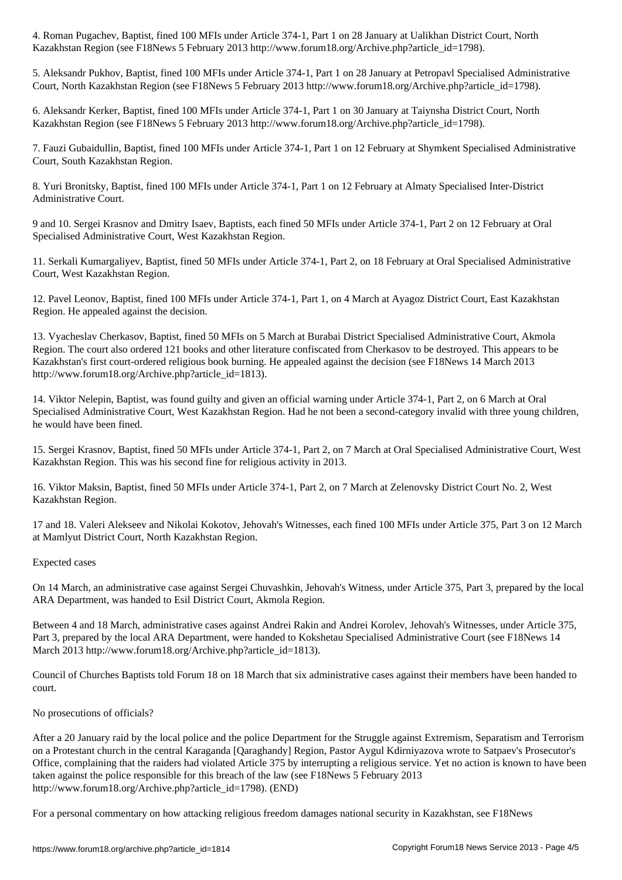Kazakhstan Region (see F18News 5 February 2013 http://www.forum18.org/Archive.php?article\_id=1798).

5. Aleksandr Pukhov, Baptist, fined 100 MFIs under Article 374-1, Part 1 on 28 January at Petropavl Specialised Administrative Court, North Kazakhstan Region (see F18News 5 February 2013 http://www.forum18.org/Archive.php?article\_id=1798).

6. Aleksandr Kerker, Baptist, fined 100 MFIs under Article 374-1, Part 1 on 30 January at Taiynsha District Court, North Kazakhstan Region (see F18News 5 February 2013 http://www.forum18.org/Archive.php?article\_id=1798).

7. Fauzi Gubaidullin, Baptist, fined 100 MFIs under Article 374-1, Part 1 on 12 February at Shymkent Specialised Administrative Court, South Kazakhstan Region.

8. Yuri Bronitsky, Baptist, fined 100 MFIs under Article 374-1, Part 1 on 12 February at Almaty Specialised Inter-District Administrative Court.

9 and 10. Sergei Krasnov and Dmitry Isaev, Baptists, each fined 50 MFIs under Article 374-1, Part 2 on 12 February at Oral Specialised Administrative Court, West Kazakhstan Region.

11. Serkali Kumargaliyev, Baptist, fined 50 MFIs under Article 374-1, Part 2, on 18 February at Oral Specialised Administrative Court, West Kazakhstan Region.

12. Pavel Leonov, Baptist, fined 100 MFIs under Article 374-1, Part 1, on 4 March at Ayagoz District Court, East Kazakhstan Region. He appealed against the decision.

13. Vyacheslav Cherkasov, Baptist, fined 50 MFIs on 5 March at Burabai District Specialised Administrative Court, Akmola Region. The court also ordered 121 books and other literature confiscated from Cherkasov to be destroyed. This appears to be Kazakhstan's first court-ordered religious book burning. He appealed against the decision (see F18News 14 March 2013 http://www.forum18.org/Archive.php?article\_id=1813).

14. Viktor Nelepin, Baptist, was found guilty and given an official warning under Article 374-1, Part 2, on 6 March at Oral Specialised Administrative Court, West Kazakhstan Region. Had he not been a second-category invalid with three young children, he would have been fined.

15. Sergei Krasnov, Baptist, fined 50 MFIs under Article 374-1, Part 2, on 7 March at Oral Specialised Administrative Court, West Kazakhstan Region. This was his second fine for religious activity in 2013.

16. Viktor Maksin, Baptist, fined 50 MFIs under Article 374-1, Part 2, on 7 March at Zelenovsky District Court No. 2, West Kazakhstan Region.

17 and 18. Valeri Alekseev and Nikolai Kokotov, Jehovah's Witnesses, each fined 100 MFIs under Article 375, Part 3 on 12 March at Mamlyut District Court, North Kazakhstan Region.

#### Expected cases

On 14 March, an administrative case against Sergei Chuvashkin, Jehovah's Witness, under Article 375, Part 3, prepared by the local ARA Department, was handed to Esil District Court, Akmola Region.

Between 4 and 18 March, administrative cases against Andrei Rakin and Andrei Korolev, Jehovah's Witnesses, under Article 375, Part 3, prepared by the local ARA Department, were handed to Kokshetau Specialised Administrative Court (see F18News 14 March 2013 http://www.forum18.org/Archive.php?article\_id=1813).

Council of Churches Baptists told Forum 18 on 18 March that six administrative cases against their members have been handed to court.

#### No prosecutions of officials?

After a 20 January raid by the local police and the police Department for the Struggle against Extremism, Separatism and Terrorism on a Protestant church in the central Karaganda [Qaraghandy] Region, Pastor Aygul Kdirniyazova wrote to Satpaev's Prosecutor's Office, complaining that the raiders had violated Article 375 by interrupting a religious service. Yet no action is known to have been taken against the police responsible for this breach of the law (see F18News 5 February 2013 http://www.forum18.org/Archive.php?article\_id=1798). (END)

For a personal commentary on how attacking religious freedom damages national security in Kazakhstan, see F18News